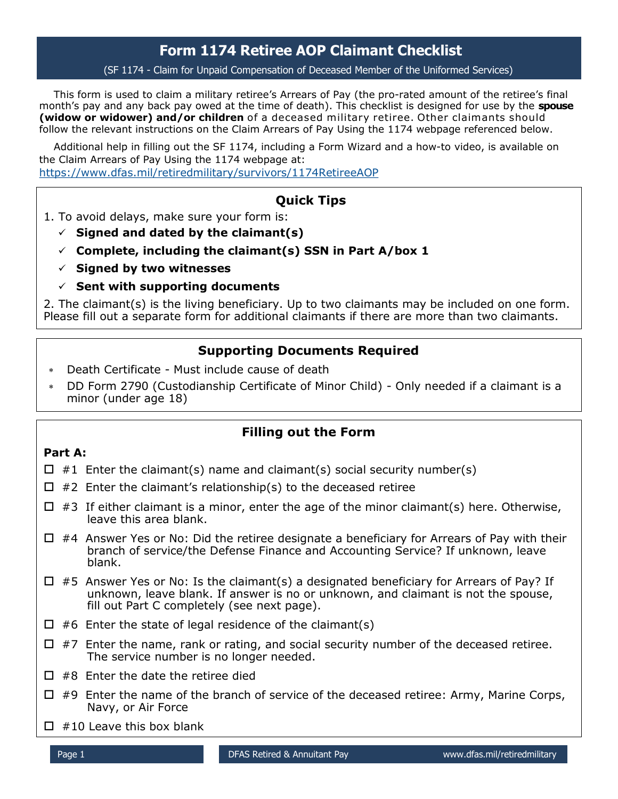# **Form 1174 Retiree AOP Claimant Checklist**

(SF 1174 - Claim for Unpaid Compensation of Deceased Member of the Uniformed Services)

This form is used to claim a military retiree's Arrears of Pay (the pro-rated amount of the retiree's final month's pay and any back pay owed at the time of death). This checklist is designed for use by the **spouse (widow or widower) and/or children** of a deceased military retiree. Other claimants should follow the relevant instructions on the Claim Arrears of Pay Using the 1174 webpage referenced below.

Additional help in filling out the SF 1174, including a Form Wizard and a how-to video, is available on the Claim Arrears of Pay Using the 1174 webpage at: <https://www.dfas.mil/retiredmilitary/survivors/1174RetireeAOP>

## **Quick Tips**

1. To avoid delays, make sure your form is:

- $\checkmark$  Signed and dated by the claimant(s)
- **Complete, including the claimant(s) SSN in Part A/box 1**
- **Signed by two witnesses**
- $\checkmark$  Sent with supporting documents

2. The claimant(s) is the living beneficiary. Up to two claimants may be included on one form. Please fill out a separate form for additional claimants if there are more than two claimants.

### **Supporting Documents Required**

- Death Certificate Must include cause of death
- DD Form 2790 (Custodianship Certificate of Minor Child) Only needed if a claimant is a minor (under age 18)

## **Filling out the Form**

#### **Part A:**

- $\Box$  #1 Enter the claimant(s) name and claimant(s) social security number(s)
- $\Box$  #2 Enter the claimant's relationship(s) to the deceased retiree
- $\Box$  #3 If either claimant is a minor, enter the age of the minor claimant(s) here. Otherwise, leave this area blank.
- $\Box$  #4 Answer Yes or No: Did the retiree designate a beneficiary for Arrears of Pay with their branch of service/the Defense Finance and Accounting Service? If unknown, leave blank.
- $\Box$  #5 Answer Yes or No: Is the claimant(s) a designated beneficiary for Arrears of Pay? If unknown, leave blank. If answer is no or unknown, and claimant is not the spouse, fill out Part C completely (see next page).
- $\Box$  #6 Enter the state of legal residence of the claimant(s)
- $\Box$  #7 Enter the name, rank or rating, and social security number of the deceased retiree. The service number is no longer needed.
- $\Box$  #8 Enter the date the retiree died
- $\Box$  #9 Enter the name of the branch of service of the deceased retiree: Army, Marine Corps, Navy, or Air Force
- $\Box$  #10 Leave this box blank